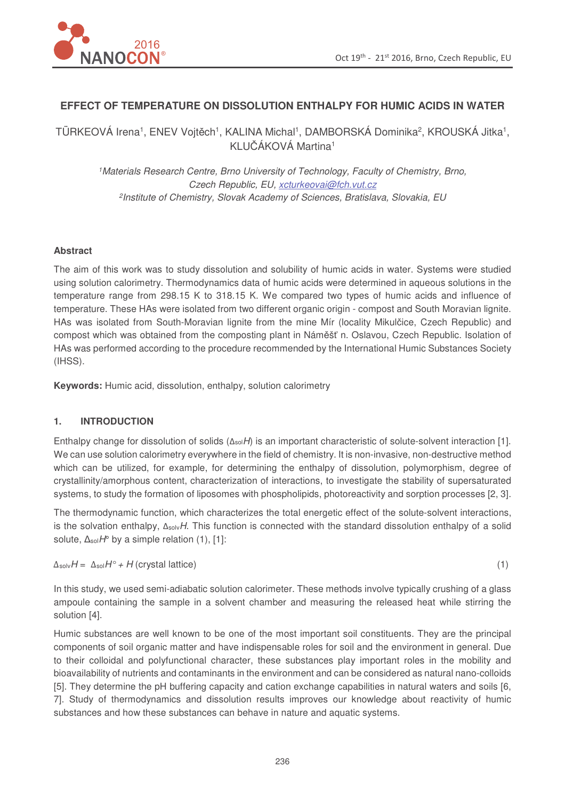

# **EFFECT OF TEMPERATURE ON DISSOLUTION ENTHALPY FOR HUMIC ACIDS IN WATER**

TÜRKEOVÁ Irena<sup>1</sup>, ENEV Vojtěch<sup>1</sup>, KALINA Michal<sup>1</sup>, DAMBORSKÁ Dominika<sup>2</sup>, KROUSKÁ Jitka<sup>1</sup>, KLUČÁKOVÁ Martina<sup>1</sup>

<sup>1</sup>Materials Research Centre, Brno University of Technology, Faculty of Chemistry, Brno, Czech Republic, EU, xcturkeovai@fch.vut.cz 2 Institute of Chemistry, Slovak Academy of Sciences, Bratislava, Slovakia, EU

#### **Abstract**

The aim of this work was to study dissolution and solubility of humic acids in water. Systems were studied using solution calorimetry. Thermodynamics data of humic acids were determined in aqueous solutions in the temperature range from 298.15 K to 318.15 K. We compared two types of humic acids and influence of temperature. These HAs were isolated from two different organic origin - compost and South Moravian lignite. HAs was isolated from South-Moravian lignite from the mine Mír (locality Mikulčice, Czech Republic) and compost which was obtained from the composting plant in Náměšť n. Oslavou, Czech Republic. Isolation of HAs was performed according to the procedure recommended by the International Humic Substances Society (IHSS).

**Keywords:** Humic acid, dissolution, enthalpy, solution calorimetry

## **1. INTRODUCTION**

Enthalpy change for dissolution of solids ( $\Delta_{sol}H$ ) is an important characteristic of solute-solvent interaction [1]. We can use solution calorimetry everywhere in the field of chemistry. It is non-invasive, non-destructive method which can be utilized, for example, for determining the enthalpy of dissolution, polymorphism, degree of crystallinity/amorphous content, characterization of interactions, to investigate the stability of supersaturated systems, to study the formation of liposomes with phospholipids, photoreactivity and sorption processes [2, 3].

The thermodynamic function, which characterizes the total energetic effect of the solute-solvent interactions, is the solvation enthalpy,  $\Delta_{solv}H$ . This function is connected with the standard dissolution enthalpy of a solid solute,  $\Delta_{sol}H^{\circ}$  by a simple relation (1), [1]:

 $\Delta_{\text{sol}}H = \Delta_{\text{sol}}H^{\circ} + H$  (crystal lattice) (1)

In this study, we used semi-adiabatic solution calorimeter. These methods involve typically crushing of a glass ampoule containing the sample in a solvent chamber and measuring the released heat while stirring the solution [4].

Humic substances are well known to be one of the most important soil constituents. They are the principal components of soil organic matter and have indispensable roles for soil and the environment in general. Due to their colloidal and polyfunctional character, these substances play important roles in the mobility and bioavailability of nutrients and contaminants in the environment and can be considered as natural nano-colloids [5]. They determine the pH buffering capacity and cation exchange capabilities in natural waters and soils [6, 7]. Study of thermodynamics and dissolution results improves our knowledge about reactivity of humic substances and how these substances can behave in nature and aquatic systems.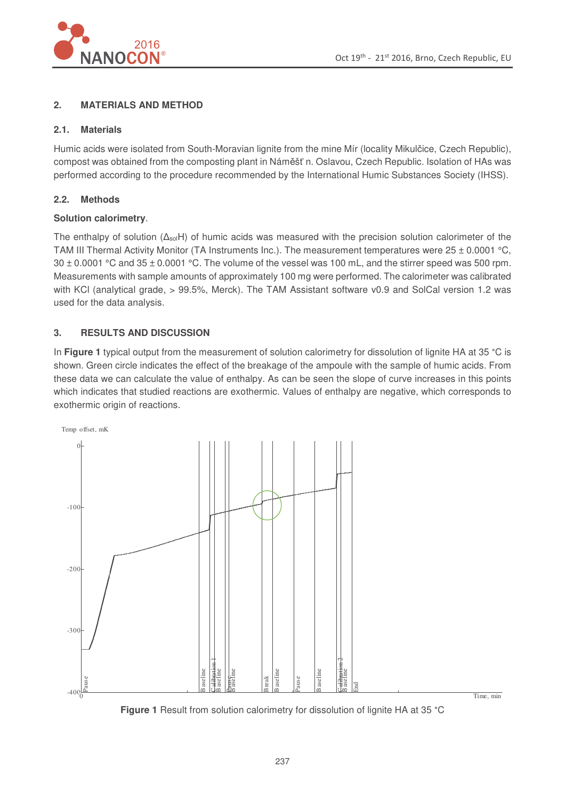

# **2. MATERIALS AND METHOD**

## **2.1. Materials**

Humic acids were isolated from South-Moravian lignite from the mine Mír (locality Mikulčice, Czech Republic), compost was obtained from the composting plant in Náměšť n. Oslavou, Czech Republic. Isolation of HAs was performed according to the procedure recommended by the International Humic Substances Society (IHSS).

# **2.2. Methods**

## **Solution calorimetry**.

The enthalpy of solution  $(\Delta_{sol}H)$  of humic acids was measured with the precision solution calorimeter of the TAM III Thermal Activity Monitor (TA Instruments Inc.). The measurement temperatures were  $25 \pm 0.0001$  °C,  $30 \pm 0.0001$  °C and  $35 \pm 0.0001$  °C. The volume of the vessel was 100 mL, and the stirrer speed was 500 rpm. Measurements with sample amounts of approximately 100 mg were performed. The calorimeter was calibrated with KCl (analytical grade, > 99.5%, Merck). The TAM Assistant software v0.9 and SolCal version 1.2 was used for the data analysis.

# **3. RESULTS AND DISCUSSION**

In Figure 1 typical output from the measurement of solution calorimetry for dissolution of lignite HA at 35 °C is shown. Green circle indicates the effect of the breakage of the ampoule with the sample of humic acids. From these data we can calculate the value of enthalpy. As can be seen the slope of curve increases in this points which indicates that studied reactions are exothermic. Values of enthalpy are negative, which corresponds to exothermic origin of reactions.



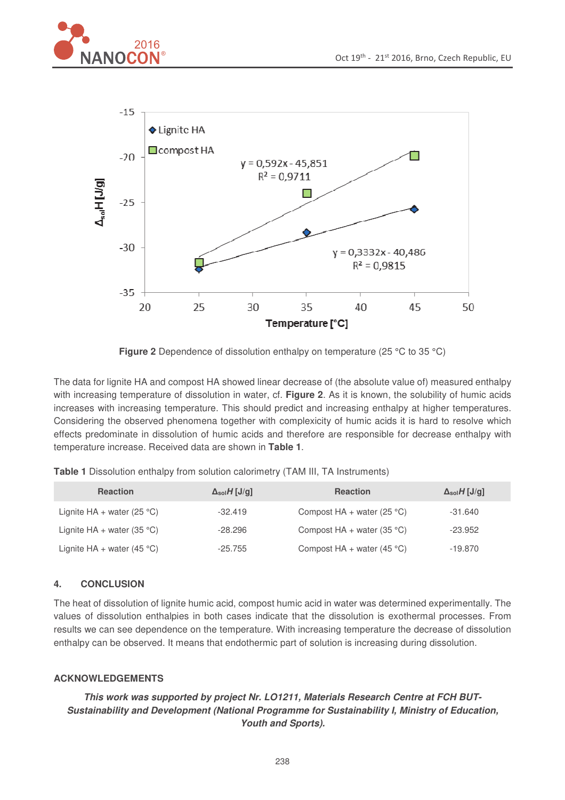





**Figure 2** Dependence of dissolution enthalpy on temperature (25 °C to 35 °C)

The data for lignite HA and compost HA showed linear decrease of (the absolute value of) measured enthalpy with increasing temperature of dissolution in water, cf. **Figure 2**. As it is known, the solubility of humic acids increases with increasing temperature. This should predict and increasing enthalpy at higher temperatures. Considering the observed phenomena together with complexicity of humic acids it is hard to resolve which effects predominate in dissolution of humic acids and therefore are responsible for decrease enthalpy with temperature increase. Received data are shown in **Table 1**.

| Table 1 Dissolution enthalpy from solution calorimetry (TAM III, TA Instruments) |
|----------------------------------------------------------------------------------|
|----------------------------------------------------------------------------------|

| <b>Reaction</b>              | $\Delta_{sol}H$ [J/g] | <b>Reaction</b>              | $\Delta_{sol}H$ [J/g] |
|------------------------------|-----------------------|------------------------------|-----------------------|
| Lignite $HA + water$ (25 °C) | $-32.419$             | Compost $HA + water (25 °C)$ | $-31.640$             |
| Lignite $HA + water (35 °C)$ | $-28.296$             | Compost $HA + water (35 °C)$ | $-23.952$             |
| Lignite $HA + water (45 °C)$ | $-25.755$             | Compost $HA + water (45 °C)$ | -19.870               |

# **4. CONCLUSION**

The heat of dissolution of lignite humic acid, compost humic acid in water was determined experimentally. The values of dissolution enthalpies in both cases indicate that the dissolution is exothermal processes. From results we can see dependence on the temperature. With increasing temperature the decrease of dissolution enthalpy can be observed. It means that endothermic part of solution is increasing during dissolution.

## **ACKNOWLEDGEMENTS**

# **This work was supported by project Nr. LO1211, Materials Research Centre at FCH BUT-Sustainability and Development (National Programme for Sustainability I, Ministry of Education, Youth and Sports).**